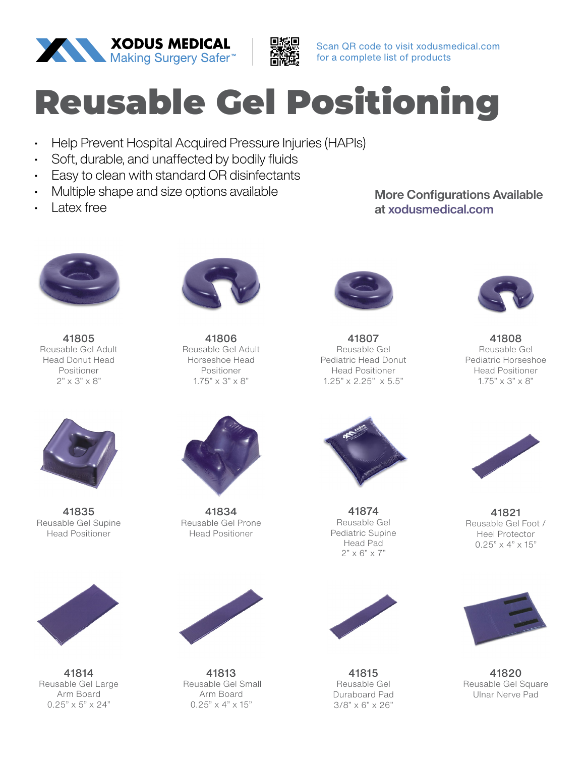



Scan QR code to visit xodusmedical.com for a complete list of products

## Reusable Gel Positioning

- Help Prevent Hospital Acquired Pressure Injuries (HAPIs)
- Soft, durable, and unaffected by bodily fluids
- Easy to clean with standard OR disinfectants
- Multiple shape and size options available
- **Latex free**

More Configurations Available at xodusmedical.com



41805 Reusable Gel Adult Head Donut Head Positioner 2" x 3" x 8"



41835 Reusable Gel Supine Head Positioner



41814 Reusable Gel Large Arm Board  $0.25" \times 5" \times 24"$ 



41806 Reusable Gel Adult Horseshoe Head Positioner  $1.75" \times 3" \times 8"$ 



41834 Reusable Gel Prone Head Positioner



41813 Reusable Gel Small Arm Board  $0.25" \times 4" \times 15"$ 



41807 Reusable Gel Pediatric Head Donut Head Positioner 1.25" x 2.25" x 5.5"



41874 Reusable Gel Pediatric Supine Head Pad  $2" \times 6" \times 7"$ 



41815 Reusable Gel Duraboard Pad 3/8" x 6" x 26"



41808 Reusable Gel Pediatric Horseshoe Head Positioner 1.75" x 3" x 8"



41821 Reusable Gel Foot / Heel Protector  $0.25" \times 4" \times 15"$ 



41820 Reusable Gel Square Ulnar Nerve Pad